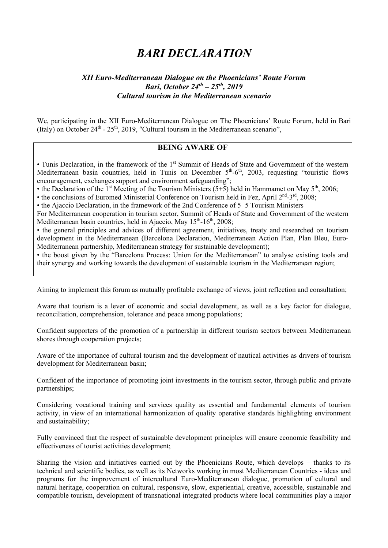## *BARI DECLARATION*

## *XII Euro-Mediterranean Dialogue on the Phoenicians' Route Forum Bari, October 24th – 25th, 2019 Cultural tourism in the Mediterranean scenario*

We, participating in the XII Euro-Mediterranean Dialogue on The Phoenicians' Route Forum, held in Bari (Italy) on October 24<sup>th</sup> - 25<sup>th</sup>, 2019, "Cultural tourism in the Mediterranean scenario",

## **BEING AWARE OF**

• Tunis Declaration, in the framework of the 1<sup>st</sup> Summit of Heads of State and Government of the western Mediterranean basin countries, held in Tunis on December 5<sup>th</sup>-6<sup>th</sup>, 2003, requesting "touristic flows encouragement, exchanges support and environment safeguarding";

• the Declaration of the 1<sup>st</sup> Meeting of the Tourism Ministers  $(5+5)$  held in Hammamet on May  $5<sup>th</sup>$ , 2006;

• the conclusions of Euromed Ministerial Conference on Tourism held in Fez, April  $2<sup>nd</sup>$ - $3<sup>rd</sup>$ , 2008;

• the Ajaccio Declaration, in the framework of the 2nd Conference of 5+5 Tourism Ministers

For Mediterranean cooperation in tourism sector, Summit of Heads of State and Government of the western Mediterranean basin countries, held in Ajaccio, May 15<sup>th</sup>-16<sup>th</sup>, 2008;

• the general principles and advices of different agreement, initiatives, treaty and researched on tourism development in the Mediterranean (Barcelona Declaration, Mediterranean Action Plan, Plan Bleu, Euro-Mediterranean partnership, Mediterranean strategy for sustainable development);

• the boost given by the "Barcelona Process: Union for the Mediterranean" to analyse existing tools and their synergy and working towards the development of sustainable tourism in the Mediterranean region;

Aiming to implement this forum as mutually profitable exchange of views, joint reflection and consultation;

Aware that tourism is a lever of economic and social development, as well as a key factor for dialogue, reconciliation, comprehension, tolerance and peace among populations;

Confident supporters of the promotion of a partnership in different tourism sectors between Mediterranean shores through cooperation projects;

Aware of the importance of cultural tourism and the development of nautical activities as drivers of tourism development for Mediterranean basin;

Confident of the importance of promoting joint investments in the tourism sector, through public and private partnerships;

Considering vocational training and services quality as essential and fundamental elements of tourism activity, in view of an international harmonization of quality operative standards highlighting environment and sustainability;

Fully convinced that the respect of sustainable development principles will ensure economic feasibility and effectiveness of tourist activities development;

Sharing the vision and initiatives carried out by the Phoenicians Route, which develops – thanks to its technical and scientific bodies, as well as its Networks working in most Mediterranean Countries - ideas and programs for the improvement of intercultural Euro-Mediterranean dialogue, promotion of cultural and natural heritage, cooperation on cultural, responsive, slow, experiential, creative, accessible, sustainable and compatible tourism, development of transnational integrated products where local communities play a major